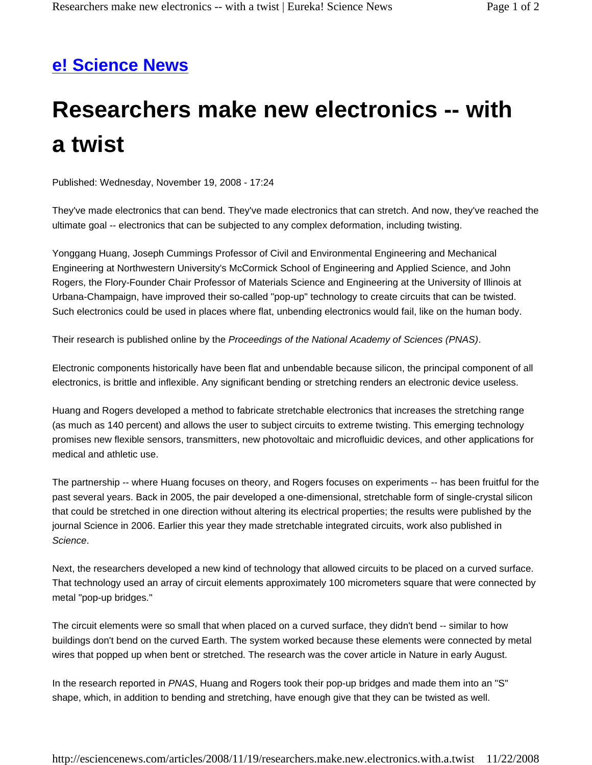## **e! Science News**

## **Researchers make new electronics -- with a twist**

Published: Wednesday, November 19, 2008 - 17:24

They've made electronics that can bend. They've made electronics that can stretch. And now, they've reached the ultimate goal -- electronics that can be subjected to any complex deformation, including twisting.

Yonggang Huang, Joseph Cummings Professor of Civil and Environmental Engineering and Mechanical Engineering at Northwestern University's McCormick School of Engineering and Applied Science, and John Rogers, the Flory-Founder Chair Professor of Materials Science and Engineering at the University of Illinois at Urbana-Champaign, have improved their so-called "pop-up" technology to create circuits that can be twisted. Such electronics could be used in places where flat, unbending electronics would fail, like on the human body.

Their research is published online by the *Proceedings of the National Academy of Sciences (PNAS)*.

Electronic components historically have been flat and unbendable because silicon, the principal component of all electronics, is brittle and inflexible. Any significant bending or stretching renders an electronic device useless.

Huang and Rogers developed a method to fabricate stretchable electronics that increases the stretching range (as much as 140 percent) and allows the user to subject circuits to extreme twisting. This emerging technology promises new flexible sensors, transmitters, new photovoltaic and microfluidic devices, and other applications for medical and athletic use.

The partnership -- where Huang focuses on theory, and Rogers focuses on experiments -- has been fruitful for the past several years. Back in 2005, the pair developed a one-dimensional, stretchable form of single-crystal silicon that could be stretched in one direction without altering its electrical properties; the results were published by the journal Science in 2006. Earlier this year they made stretchable integrated circuits, work also published in *Science*.

Next, the researchers developed a new kind of technology that allowed circuits to be placed on a curved surface. That technology used an array of circuit elements approximately 100 micrometers square that were connected by metal "pop-up bridges."

The circuit elements were so small that when placed on a curved surface, they didn't bend -- similar to how buildings don't bend on the curved Earth. The system worked because these elements were connected by metal wires that popped up when bent or stretched. The research was the cover article in Nature in early August.

In the research reported in *PNAS*, Huang and Rogers took their pop-up bridges and made them into an "S" shape, which, in addition to bending and stretching, have enough give that they can be twisted as well.